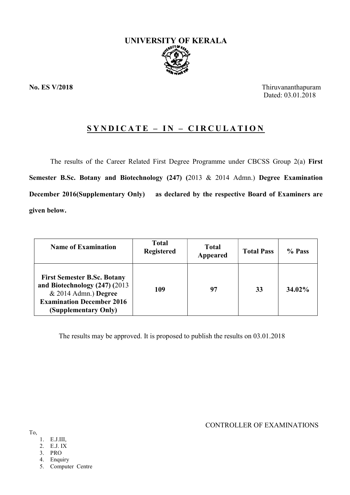

No. ES V/2018 Thiruvananthapuram Dated: 03.01.2018

# $SYNDICATE - IN - CIRCULATION$

The results of the Career Related First Degree Programme under CBCSS Group 2(a) First Semester B.Sc. Botany and Biotechnology (247) (2013 & 2014 Admn.) Degree Examination December 2016(Supplementary Only) as declared by the respective Board of Examiners are given below.

| <b>Name of Examination</b>                                                                                                                                 | Total<br><b>Registered</b> | <b>Total</b><br>Appeared | <b>Total Pass</b> | % Pass |
|------------------------------------------------------------------------------------------------------------------------------------------------------------|----------------------------|--------------------------|-------------------|--------|
| <b>First Semester B.Sc. Botany</b><br>and Biotechnology (247) (2013)<br>$& 2014$ Admn.) Degree<br><b>Examination December 2016</b><br>(Supplementary Only) | 109                        | 97                       | 33                | 34.02% |

The results may be approved. It is proposed to publish the results on 03.01.2018

CONTROLLER OF EXAMINATIONS

# To,

- 1. E.J.III,
- 2. E.J. IX
- 3. PRO
- 4. Enquiry
- 5. Computer Centre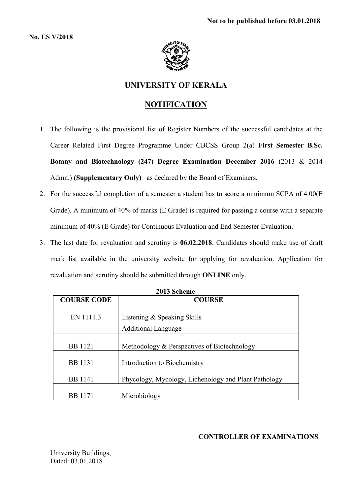No. ES V/2018



# UNIVERSITY OF KERALA

# NOTIFICATION

- 1. The following is the provisional list of Register Numbers of the successful candidates at the Career Related First Degree Programme Under CBCSS Group 2(a) First Semester B.Sc. Botany and Biotechnology (247) Degree Examination December 2016 (2013 & 2014 Admn.) (Supplementary Only) as declared by the Board of Examiners.
- 2. For the successful completion of a semester a student has to score a minimum SCPA of 4.00(E Grade). A minimum of 40% of marks (E Grade) is required for passing a course with a separate minimum of 40% (E Grade) for Continuous Evaluation and End Semester Evaluation.
- 3. The last date for revaluation and scrutiny is 06.02.2018. Candidates should make use of draft mark list available in the university website for applying for revaluation. Application for revaluation and scrutiny should be submitted through ONLINE only.

| <b>COURSE CODE</b> | <b>COURSE</b>                                        |  |  |  |
|--------------------|------------------------------------------------------|--|--|--|
|                    |                                                      |  |  |  |
|                    |                                                      |  |  |  |
| EN 1111.3          | Listening & Speaking Skills                          |  |  |  |
|                    |                                                      |  |  |  |
|                    | <b>Additional Language</b>                           |  |  |  |
|                    |                                                      |  |  |  |
|                    |                                                      |  |  |  |
| <b>BB</b> 1121     | Methodology & Perspectives of Biotechnology          |  |  |  |
|                    |                                                      |  |  |  |
| <b>BB</b> 1131     | Introduction to Biochemistry                         |  |  |  |
|                    |                                                      |  |  |  |
|                    |                                                      |  |  |  |
| <b>BB</b> 1141     | Phycology, Mycology, Lichenology and Plant Pathology |  |  |  |
|                    |                                                      |  |  |  |
|                    |                                                      |  |  |  |
| <b>BB</b> 1171     | Microbiology                                         |  |  |  |
|                    |                                                      |  |  |  |

2013 Scheme

# CONTROLLER OF EXAMINATIONS

University Buildings, Dated: 03.01.2018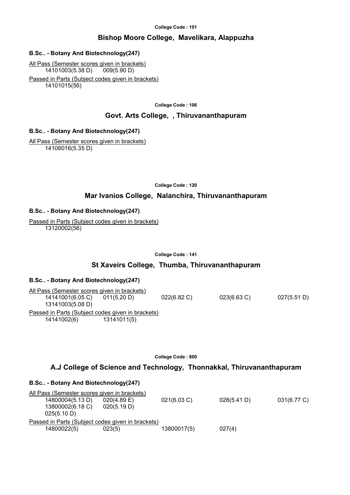#### College Code : 101

# Bishop Moore College, Mavelikara, Alappuzha

# B.Sc.. - Botany And Biotechnology(247)

All Pass (Semester scores given in brackets) 14101003(5.38 D) 009(5.90 D) Passed in Parts (Subject codes given in brackets)

14101015(56)

College Code : 106

# Govt. Arts College, , Thiruvananthapuram

# B.Sc.. - Botany And Biotechnology(247)

All Pass (Semester scores given in brackets) 14106016(5.35 D)

College Code : 120

# Mar Ivanios College, Nalanchira, Thiruvananthapuram

# B.Sc.. - Botany And Biotechnology(247)

Passed in Parts (Subject codes given in brackets) 13120002(56)

#### College Code : 141

# St Xaveirs College, Thumba, Thiruvananthapuram

# B.Sc.. - Botany And Biotechnology(247)

All Pass (Semester scores given in brackets) 14141001(6.05 C) 011(5.20 D) 022(6.82 C) 023(6.63 C) 027(5.51 D) 13141003(5.08 D) Passed in Parts (Subject codes given in brackets) 14141002(6) 13141011(5)

College Code : 800

# A.J College of Science and Technology, Thonnakkal, Thiruvananthapuram

# B.Sc.. - Botany And Biotechnology(247)

All Pass (Semester scores given in brackets) 14800004(5.13 D) 020(4.89 E) 021(6.03 C) 028(5.41 D) 031(6.77 C) 13800002(6.18 C) 020(5.19 D) 025(5.10 D) Passed in Parts (Subject codes given in brackets)  $14800022(5)$  023(5) 023(5) 13800017(5) 027(4)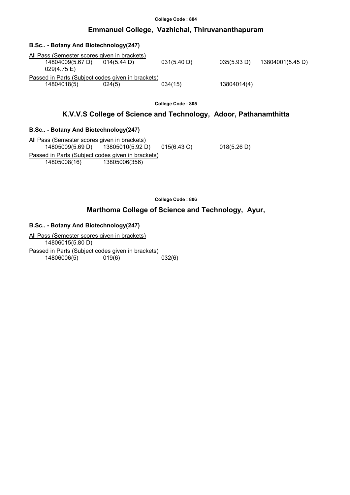#### College Code : 804

# Emmanuel College, Vazhichal, Thiruvananthapuram

| B.Sc. - Botany And Biotechnology(247)                                           |                       |             |             |                  |
|---------------------------------------------------------------------------------|-----------------------|-------------|-------------|------------------|
| All Pass (Semester scores given in brackets)<br>14804009(5.67 D)<br>029(4.75 E) | $014(5.44 \text{ D})$ | 031(5.40 D) | 035(5.93 D) | 13804001(5.45 D) |
| Passed in Parts (Subject codes given in brackets)<br>14804018(5)                | 024(5)                | 034(15)     | 13804014(4) |                  |

College Code : 805

# K.V.V.S College of Science and Technology, Adoor, Pathanamthitta

### B.Sc.. - Botany And Biotechnology(247)

All Pass (Semester scores given in brackets) 14805009(5.69 D) 13805010(5.92 D) 015(6.43 C) 018(5.26 D) Passed in Parts (Subject codes given in brackets) 14805008(16) 13805006(356)

College Code : 806

# Marthoma College of Science and Technology, Ayur,

### B.Sc.. - Botany And Biotechnology(247)

All Pass (Semester scores given in brackets) 14806015(5.80 D) Passed in Parts (Subject codes given in brackets)<br>14806006(5) 019(6) 032(6) 14806006(5) 019(6)